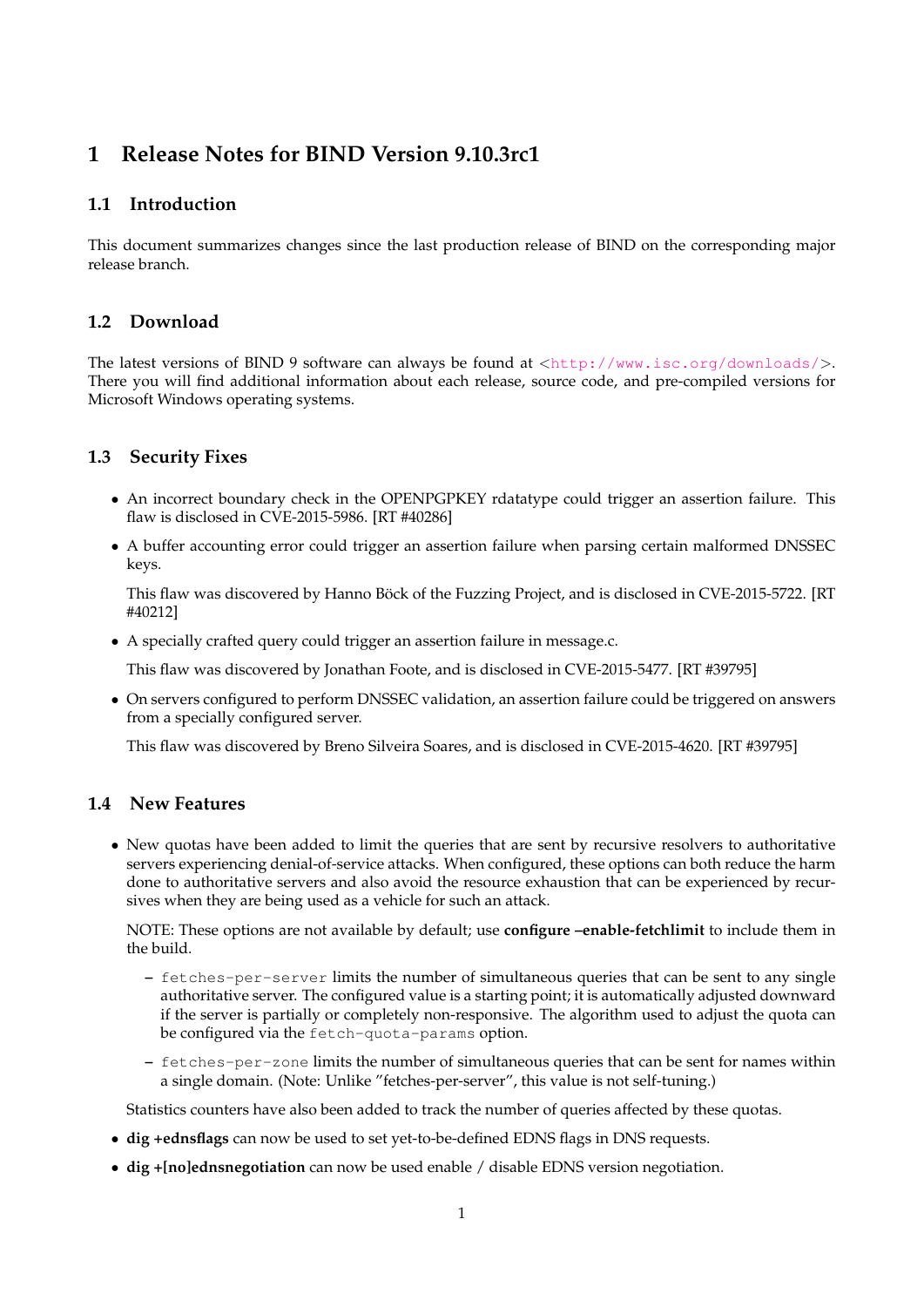# **1 Release Notes for BIND Version 9.10.3rc1**

## **1.1 Introduction**

This document summarizes changes since the last production release of BIND on the corresponding major release branch.

#### **1.2 Download**

The latest versions of BIND 9 software can always be found at <<http://www.isc.org/downloads/>>. There you will find additional information about each release, source code, and pre-compiled versions for Microsoft Windows operating systems.

#### **1.3 Security Fixes**

- An incorrect boundary check in the OPENPGPKEY rdatatype could trigger an assertion failure. This flaw is disclosed in CVE-2015-5986. [RT #40286]
- A buffer accounting error could trigger an assertion failure when parsing certain malformed DNSSEC keys.

This flaw was discovered by Hanno Böck of the Fuzzing Project, and is disclosed in CVE-2015-5722. [RT #40212]

• A specially crafted query could trigger an assertion failure in message.c.

This flaw was discovered by Jonathan Foote, and is disclosed in CVE-2015-5477. [RT #39795]

• On servers configured to perform DNSSEC validation, an assertion failure could be triggered on answers from a specially configured server.

This flaw was discovered by Breno Silveira Soares, and is disclosed in CVE-2015-4620. [RT #39795]

#### **1.4 New Features**

• New quotas have been added to limit the queries that are sent by recursive resolvers to authoritative servers experiencing denial-of-service attacks. When configured, these options can both reduce the harm done to authoritative servers and also avoid the resource exhaustion that can be experienced by recursives when they are being used as a vehicle for such an attack.

NOTE: These options are not available by default; use **configure –enable-fetchlimit** to include them in the build.

- **–** fetches-per-server limits the number of simultaneous queries that can be sent to any single authoritative server. The configured value is a starting point; it is automatically adjusted downward if the server is partially or completely non-responsive. The algorithm used to adjust the quota can be configured via the fetch-quota-params option.
- **–** fetches-per-zone limits the number of simultaneous queries that can be sent for names within a single domain. (Note: Unlike "fetches-per-server", this value is not self-tuning.)

Statistics counters have also been added to track the number of queries affected by these quotas.

- **dig +ednsflags** can now be used to set yet-to-be-defined EDNS flags in DNS requests.
- **dig +[no]ednsnegotiation** can now be used enable / disable EDNS version negotiation.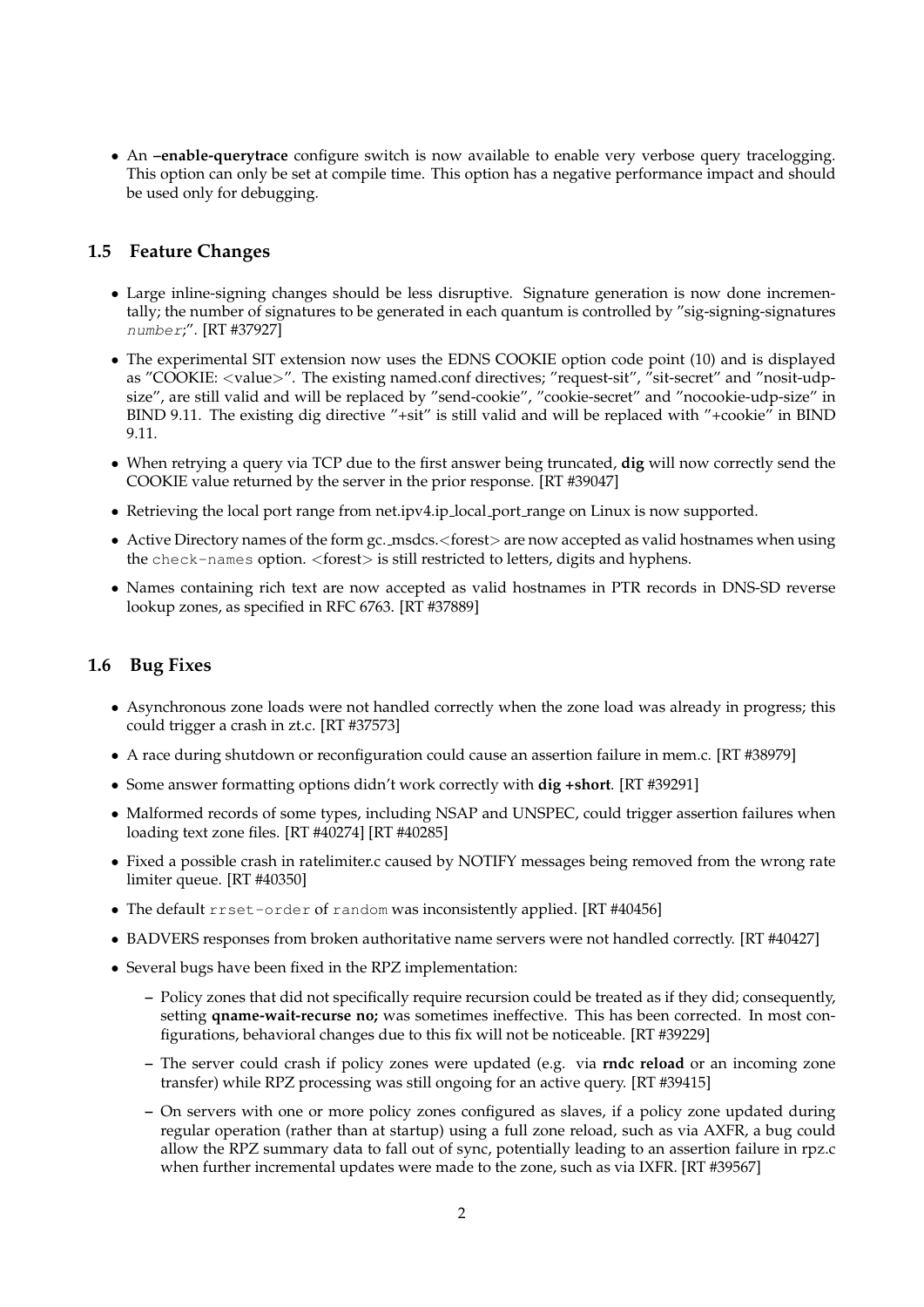• An **–enable-querytrace** configure switch is now available to enable very verbose query tracelogging. This option can only be set at compile time. This option has a negative performance impact and should be used only for debugging.

# **1.5 Feature Changes**

- Large inline-signing changes should be less disruptive. Signature generation is now done incrementally; the number of signatures to be generated in each quantum is controlled by "sig-signing-signatures number;". [RT #37927]
- The experimental SIT extension now uses the EDNS COOKIE option code point (10) and is displayed as "COOKIE: <value>". The existing named.conf directives; "request-sit", "sit-secret" and "nosit-udpsize", are still valid and will be replaced by "send-cookie", "cookie-secret" and "nocookie-udp-size" in BIND 9.11. The existing dig directive "+sit" is still valid and will be replaced with "+cookie" in BIND 9.11.
- When retrying a query via TCP due to the first answer being truncated, **dig** will now correctly send the COOKIE value returned by the server in the prior response. [RT #39047]
- Retrieving the local port range from net.ipv4.ip\_local\_port\_range on Linux is now supported.
- Active Directory names of the form gc. msdcs.<forest> are now accepted as valid hostnames when using the check-names option. <forest> is still restricted to letters, digits and hyphens.
- Names containing rich text are now accepted as valid hostnames in PTR records in DNS-SD reverse lookup zones, as specified in RFC 6763. [RT #37889]

# **1.6 Bug Fixes**

- Asynchronous zone loads were not handled correctly when the zone load was already in progress; this could trigger a crash in zt.c. [RT #37573]
- A race during shutdown or reconfiguration could cause an assertion failure in mem.c. [RT #38979]
- Some answer formatting options didn't work correctly with **dig +short**. [RT #39291]
- Malformed records of some types, including NSAP and UNSPEC, could trigger assertion failures when loading text zone files. [RT #40274] [RT #40285]
- Fixed a possible crash in ratelimiter.c caused by NOTIFY messages being removed from the wrong rate limiter queue. [RT #40350]
- The default rrset-order of random was inconsistently applied. [RT #40456]
- BADVERS responses from broken authoritative name servers were not handled correctly. [RT #40427]
- Several bugs have been fixed in the RPZ implementation:
	- **–** Policy zones that did not specifically require recursion could be treated as if they did; consequently, setting **qname-wait-recurse no;** was sometimes ineffective. This has been corrected. In most configurations, behavioral changes due to this fix will not be noticeable. [RT #39229]
	- **–** The server could crash if policy zones were updated (e.g. via **rndc reload** or an incoming zone transfer) while RPZ processing was still ongoing for an active query. [RT #39415]
	- **–** On servers with one or more policy zones configured as slaves, if a policy zone updated during regular operation (rather than at startup) using a full zone reload, such as via AXFR, a bug could allow the RPZ summary data to fall out of sync, potentially leading to an assertion failure in rpz.c when further incremental updates were made to the zone, such as via IXFR. [RT #39567]